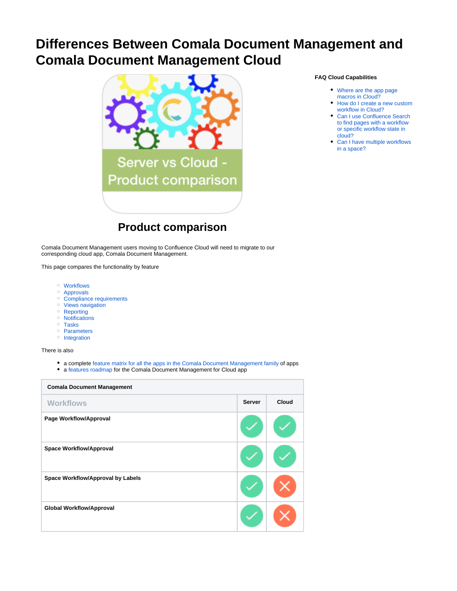## **Differences Between Comala Document Management and Comala Document Management Cloud**



## **Product comparison**

Comala Document Management users moving to Confluence Cloud will need to migrate to our corresponding cloud app, Comala Document Management.

This page compares the functionality by feature

- [Workflows](#page-0-0)
- [Approvals](#page-1-0)
- <sup>o</sup> [Compliance requirements](#page-1-1)
- [Views navigation](#page-1-2)
- <sup>o</sup> [Reporting](#page-2-0)
- <sup>o</sup> [Notifications](#page-2-1)
- <sup>o</sup> [Tasks](#page-2-2)
- <sup>o</sup> [Parameters](#page-2-3)
- <sup>o</sup> [Integration](#page-3-0)

There is also

- a complete [feature matrix for all the apps in the Comala Document Management family](https://wiki.comalatech.com/display/CDML/Complete+Comparison+of+Comala+Document+Family+of+Apps+Feature+Matrix) of apps
- a [features roadmap](https://wiki.comalatech.com/display/MIG/Features+roadmap) for the Comala Document Management for Cloud app

<span id="page-0-0"></span>

| <b>Comala Document Management</b> |               |       |
|-----------------------------------|---------------|-------|
| <b>Workflows</b>                  | <b>Server</b> | Cloud |
| Page Workflow/Approval            |               |       |
| <b>Space Workflow/Approval</b>    |               |       |
| Space Workflow/Approval by Labels |               |       |
| <b>Global Workflow/Approval</b>   |               |       |

## **FAQ Cloud Capabilities**

- [Where are the app page](https://wiki.comalatech.com/pages/viewpage.action?pageId=93045554)  [macros in Cloud?](https://wiki.comalatech.com/pages/viewpage.action?pageId=93045554)
- [How do I create a new custom](https://wiki.comalatech.com/pages/viewpage.action?pageId=93045548)  [workflow in Cloud?](https://wiki.comalatech.com/pages/viewpage.action?pageId=93045548)
- [Can I use Confluence Search](https://wiki.comalatech.com/pages/viewpage.action?pageId=93045556)  [to find pages with a workflow](https://wiki.comalatech.com/pages/viewpage.action?pageId=93045556)  [or specific workflow state in](https://wiki.comalatech.com/pages/viewpage.action?pageId=93045556)  [cloud?](https://wiki.comalatech.com/pages/viewpage.action?pageId=93045556)
- [Can I have multiple workflows](https://wiki.comalatech.com/pages/viewpage.action?pageId=93045540)  [in a space?](https://wiki.comalatech.com/pages/viewpage.action?pageId=93045540)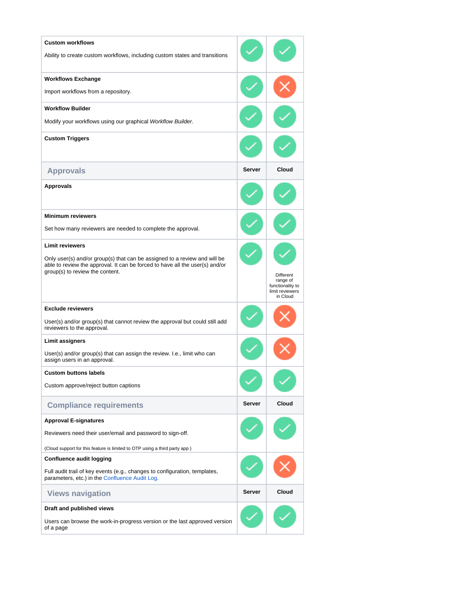<span id="page-1-2"></span><span id="page-1-1"></span><span id="page-1-0"></span>

| <b>Custom workflows</b><br>Ability to create custom workflows, including custom states and transitions                                                                                       |        |                                                                          |
|----------------------------------------------------------------------------------------------------------------------------------------------------------------------------------------------|--------|--------------------------------------------------------------------------|
| <b>Workflows Exchange</b>                                                                                                                                                                    |        |                                                                          |
| Import workflows from a repository.                                                                                                                                                          |        |                                                                          |
| <b>Workflow Builder</b>                                                                                                                                                                      |        |                                                                          |
| Modify your workflows using our graphical Workflow Builder.                                                                                                                                  |        |                                                                          |
| <b>Custom Triggers</b>                                                                                                                                                                       |        |                                                                          |
| <b>Approvals</b>                                                                                                                                                                             | Server | Cloud                                                                    |
| <b>Approvals</b>                                                                                                                                                                             |        |                                                                          |
| <b>Minimum reviewers</b>                                                                                                                                                                     |        |                                                                          |
| Set how many reviewers are needed to complete the approval.                                                                                                                                  |        |                                                                          |
| <b>Limit reviewers</b>                                                                                                                                                                       |        |                                                                          |
| Only user(s) and/or group(s) that can be assigned to a review and will be<br>able to review the approval. It can be forced to have all the user(s) and/or<br>group(s) to review the content. |        | Different<br>range of<br>functionality to<br>limit reviewers<br>in Cloud |
| <b>Exclude reviewers</b>                                                                                                                                                                     |        |                                                                          |
| User(s) and/or group(s) that cannot review the approval but could still add<br>reviewers to the approval.                                                                                    |        |                                                                          |
| <b>Limit assigners</b>                                                                                                                                                                       |        |                                                                          |
| User(s) and/or group(s) that can assign the review. I.e., limit who can<br>assign users in an approval.                                                                                      |        |                                                                          |
| <b>Custom buttons labels</b>                                                                                                                                                                 |        |                                                                          |
| Custom approve/reject button captions                                                                                                                                                        |        |                                                                          |
| <b>Compliance requirements</b>                                                                                                                                                               | Server | Cloud                                                                    |
| <b>Approval E-signatures</b>                                                                                                                                                                 |        |                                                                          |
| Reviewers need their user/email and password to sign-off.                                                                                                                                    |        |                                                                          |
| (Cloud support for this feature is limited to OTP using a third party app)                                                                                                                   |        |                                                                          |
| <b>Confluence audit logging</b>                                                                                                                                                              |        |                                                                          |
| Full audit trail of key events (e.g., changes to configuration, templates,<br>parameters, etc.) in the Confluence Audit Log.                                                                 |        |                                                                          |
| <b>Views navigation</b>                                                                                                                                                                      | Server | Cloud                                                                    |
| Draft and published views                                                                                                                                                                    |        |                                                                          |
| Users can browse the work-in-progress version or the last approved version<br>of a page                                                                                                      |        |                                                                          |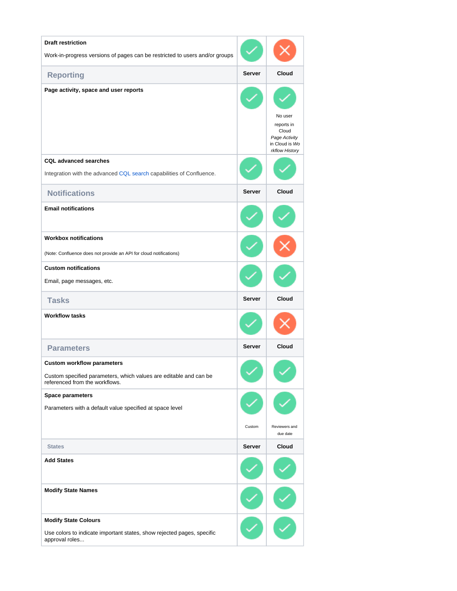<span id="page-2-3"></span><span id="page-2-2"></span><span id="page-2-1"></span><span id="page-2-0"></span>

| <b>Draft restriction</b>                                                                                                                 |               |                                                                                     |
|------------------------------------------------------------------------------------------------------------------------------------------|---------------|-------------------------------------------------------------------------------------|
| Work-in-progress versions of pages can be restricted to users and/or groups                                                              |               |                                                                                     |
| <b>Reporting</b>                                                                                                                         | <b>Server</b> | Cloud                                                                               |
| Page activity, space and user reports                                                                                                    |               | No user<br>reports in<br>Cloud<br>Page Activity<br>in Cloud is Wo<br>rkflow History |
| <b>CQL advanced searches</b>                                                                                                             |               |                                                                                     |
| Integration with the advanced CQL search capabilities of Confluence.                                                                     |               |                                                                                     |
| <b>Notifications</b>                                                                                                                     | <b>Server</b> | Cloud                                                                               |
| <b>Email notifications</b>                                                                                                               |               |                                                                                     |
| <b>Workbox notifications</b>                                                                                                             |               |                                                                                     |
| (Note: Confluence does not provide an API for cloud notifications)                                                                       |               |                                                                                     |
| <b>Custom notifications</b>                                                                                                              |               |                                                                                     |
| Email, page messages, etc.                                                                                                               |               |                                                                                     |
| <b>Tasks</b>                                                                                                                             | <b>Server</b> | Cloud                                                                               |
| <b>Workflow tasks</b>                                                                                                                    |               |                                                                                     |
| <b>Parameters</b>                                                                                                                        | Server        | Cloud                                                                               |
| <b>Custom workflow parameters</b><br>Custom specified parameters, which values are editable and can be<br>referenced from the workflows. |               |                                                                                     |
| Space parameters<br>Parameters with a default value specified at space level                                                             |               |                                                                                     |
|                                                                                                                                          | Custom        | Reviewers and<br>due date                                                           |
| <b>States</b>                                                                                                                            | <b>Server</b> | Cloud                                                                               |
| <b>Add States</b>                                                                                                                        |               |                                                                                     |
| <b>Modify State Names</b>                                                                                                                |               |                                                                                     |
| <b>Modify State Colours</b>                                                                                                              |               |                                                                                     |
| Use colors to indicate important states, show rejected pages, specific<br>approval roles                                                 |               |                                                                                     |